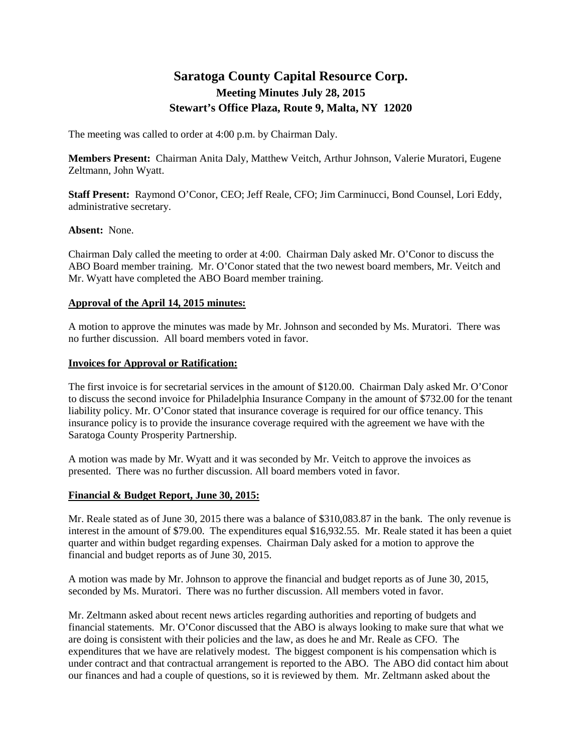# **Saratoga County Capital Resource Corp. Meeting Minutes July 28, 2015 Stewart's Office Plaza, Route 9, Malta, NY 12020**

The meeting was called to order at 4:00 p.m. by Chairman Daly.

**Members Present:** Chairman Anita Daly, Matthew Veitch, Arthur Johnson, Valerie Muratori, Eugene Zeltmann, John Wyatt.

**Staff Present:** Raymond O'Conor, CEO; Jeff Reale, CFO; Jim Carminucci, Bond Counsel, Lori Eddy, administrative secretary.

## **Absent:** None.

Chairman Daly called the meeting to order at 4:00. Chairman Daly asked Mr. O'Conor to discuss the ABO Board member training. Mr. O'Conor stated that the two newest board members, Mr. Veitch and Mr. Wyatt have completed the ABO Board member training.

## **Approval of the April 14, 2015 minutes:**

A motion to approve the minutes was made by Mr. Johnson and seconded by Ms. Muratori. There was no further discussion. All board members voted in favor.

## **Invoices for Approval or Ratification:**

The first invoice is for secretarial services in the amount of \$120.00. Chairman Daly asked Mr. O'Conor to discuss the second invoice for Philadelphia Insurance Company in the amount of \$732.00 for the tenant liability policy. Mr. O'Conor stated that insurance coverage is required for our office tenancy. This insurance policy is to provide the insurance coverage required with the agreement we have with the Saratoga County Prosperity Partnership.

A motion was made by Mr. Wyatt and it was seconded by Mr. Veitch to approve the invoices as presented. There was no further discussion. All board members voted in favor.

### **Financial & Budget Report, June 30, 2015:**

Mr. Reale stated as of June 30, 2015 there was a balance of \$310,083.87 in the bank. The only revenue is interest in the amount of \$79.00. The expenditures equal \$16,932.55. Mr. Reale stated it has been a quiet quarter and within budget regarding expenses. Chairman Daly asked for a motion to approve the financial and budget reports as of June 30, 2015.

A motion was made by Mr. Johnson to approve the financial and budget reports as of June 30, 2015, seconded by Ms. Muratori. There was no further discussion. All members voted in favor.

Mr. Zeltmann asked about recent news articles regarding authorities and reporting of budgets and financial statements. Mr. O'Conor discussed that the ABO is always looking to make sure that what we are doing is consistent with their policies and the law, as does he and Mr. Reale as CFO. The expenditures that we have are relatively modest. The biggest component is his compensation which is under contract and that contractual arrangement is reported to the ABO. The ABO did contact him about our finances and had a couple of questions, so it is reviewed by them. Mr. Zeltmann asked about the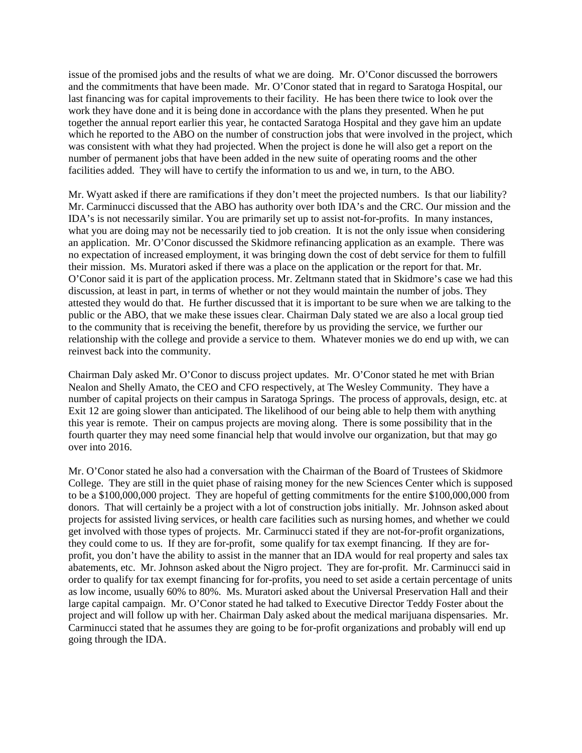issue of the promised jobs and the results of what we are doing. Mr. O'Conor discussed the borrowers and the commitments that have been made. Mr. O'Conor stated that in regard to Saratoga Hospital, our last financing was for capital improvements to their facility. He has been there twice to look over the work they have done and it is being done in accordance with the plans they presented. When he put together the annual report earlier this year, he contacted Saratoga Hospital and they gave him an update which he reported to the ABO on the number of construction jobs that were involved in the project, which was consistent with what they had projected. When the project is done he will also get a report on the number of permanent jobs that have been added in the new suite of operating rooms and the other facilities added. They will have to certify the information to us and we, in turn, to the ABO.

Mr. Wyatt asked if there are ramifications if they don't meet the projected numbers. Is that our liability? Mr. Carminucci discussed that the ABO has authority over both IDA's and the CRC. Our mission and the IDA's is not necessarily similar. You are primarily set up to assist not-for-profits. In many instances, what you are doing may not be necessarily tied to job creation. It is not the only issue when considering an application. Mr. O'Conor discussed the Skidmore refinancing application as an example. There was no expectation of increased employment, it was bringing down the cost of debt service for them to fulfill their mission. Ms. Muratori asked if there was a place on the application or the report for that. Mr. O'Conor said it is part of the application process. Mr. Zeltmann stated that in Skidmore's case we had this discussion, at least in part, in terms of whether or not they would maintain the number of jobs. They attested they would do that. He further discussed that it is important to be sure when we are talking to the public or the ABO, that we make these issues clear. Chairman Daly stated we are also a local group tied to the community that is receiving the benefit, therefore by us providing the service, we further our relationship with the college and provide a service to them. Whatever monies we do end up with, we can reinvest back into the community.

Chairman Daly asked Mr. O'Conor to discuss project updates. Mr. O'Conor stated he met with Brian Nealon and Shelly Amato, the CEO and CFO respectively, at The Wesley Community. They have a number of capital projects on their campus in Saratoga Springs. The process of approvals, design, etc. at Exit 12 are going slower than anticipated. The likelihood of our being able to help them with anything this year is remote. Their on campus projects are moving along. There is some possibility that in the fourth quarter they may need some financial help that would involve our organization, but that may go over into 2016.

Mr. O'Conor stated he also had a conversation with the Chairman of the Board of Trustees of Skidmore College. They are still in the quiet phase of raising money for the new Sciences Center which is supposed to be a \$100,000,000 project. They are hopeful of getting commitments for the entire \$100,000,000 from donors. That will certainly be a project with a lot of construction jobs initially. Mr. Johnson asked about projects for assisted living services, or health care facilities such as nursing homes, and whether we could get involved with those types of projects. Mr. Carminucci stated if they are not-for-profit organizations, they could come to us. If they are for-profit, some qualify for tax exempt financing. If they are forprofit, you don't have the ability to assist in the manner that an IDA would for real property and sales tax abatements, etc. Mr. Johnson asked about the Nigro project. They are for-profit. Mr. Carminucci said in order to qualify for tax exempt financing for for-profits, you need to set aside a certain percentage of units as low income, usually 60% to 80%. Ms. Muratori asked about the Universal Preservation Hall and their large capital campaign. Mr. O'Conor stated he had talked to Executive Director Teddy Foster about the project and will follow up with her. Chairman Daly asked about the medical marijuana dispensaries. Mr. Carminucci stated that he assumes they are going to be for-profit organizations and probably will end up going through the IDA.